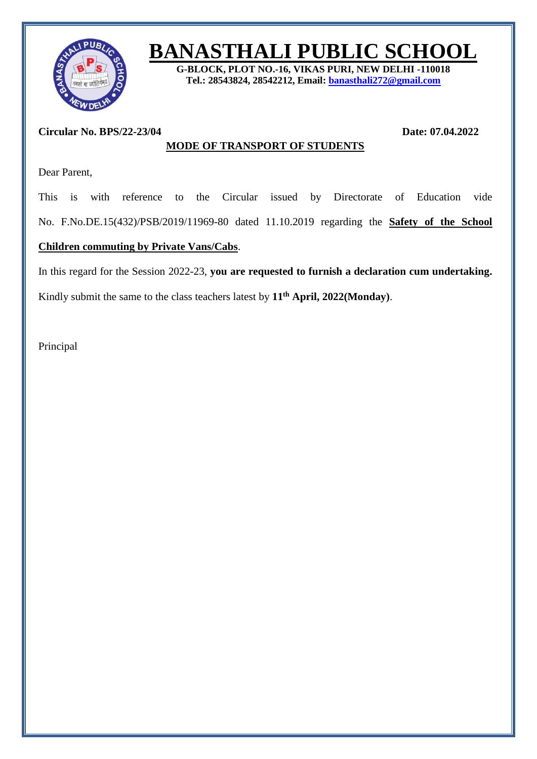

## **BANASTHALI PUBLIC SCHOOL**

**G-BLOCK, PLOT NO.-16, VIKAS PURI, NEW DELHI -110018 Tel.: 28543824, 28542212, Email: [banasthali272@gmail.com](mailto:banasthali272@gmail.com)**

## **Circular No. BPS/22-23/04 Date: 07.04.2022**

Dear Parent,

This is with reference to the Circular issued by Directorate of Education vide No. F.No.DE.15(432)/PSB/2019/11969-80 dated 11.10.2019 regarding the **Safety of the School** 

**MODE OF TRANSPORT OF STUDENTS**

## **Children commuting by Private Vans/Cabs**.

In this regard for the Session 2022-23, **you are requested to furnish a declaration cum undertaking.**

Kindly submit the same to the class teachers latest by **11 th April, 2022(Monday)**.

Principal